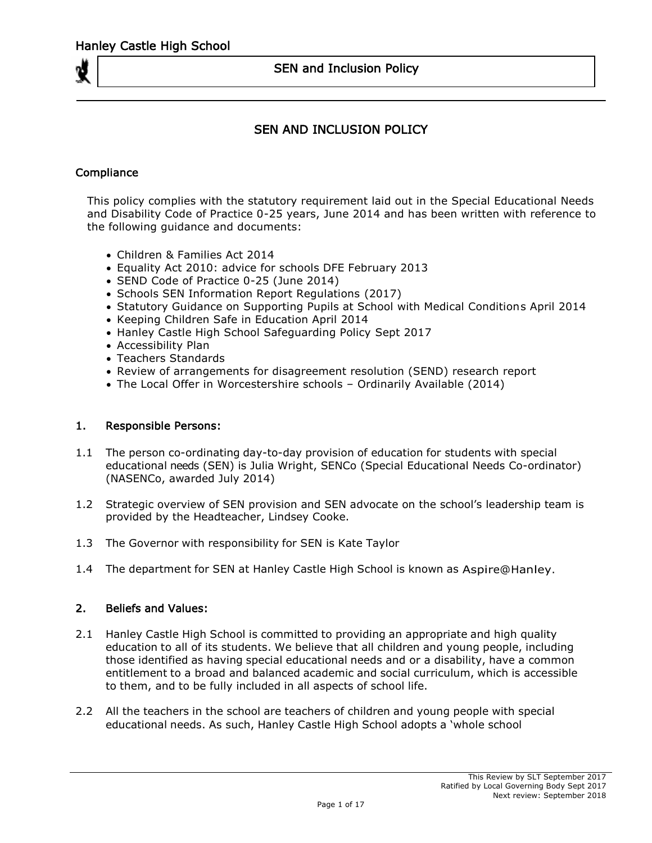# SEN AND INCLUSION POLICY

## **Compliance**

This policy complies with the statutory requirement laid out in the Special Educational Needs and Disability Code of Practice 0-25 years, June 2014 and has been written with reference to the following guidance and documents:

- Children & Families Act 2014
- Equality Act 2010: advice for schools DFE February 2013
- SEND Code of Practice 0-25 (June 2014)
- Schools SEN Information Report Regulations (2017)
- Statutory Guidance on Supporting Pupils at School with Medical Conditions April 2014
- Keeping Children Safe in Education April 2014
- Hanley Castle High School Safeguarding Policy Sept 2017
- Accessibility Plan
- Teachers Standards
- Review of arrangements for disagreement resolution (SEND) research report
- The Local Offer in Worcestershire schools Ordinarily Available (2014)

### 1. Responsible Persons:

- 1.1 The person co-ordinating day-to-day provision of education for students with special educational needs (SEN) is Julia Wright, SENCo (Special Educational Needs Co-ordinator) (NASENCo, awarded July 2014)
- 1.2 Strategic overview of SEN provision and SEN advocate on the school's leadership team is provided by the Headteacher, Lindsey Cooke.
- 1.3 The Governor with responsibility for SEN is Kate Taylor
- 1.4 The department for SEN at Hanley Castle High School is known as Aspire@Hanley.

### 2. Beliefs and Values:

- 2.1 Hanley Castle High School is committed to providing an appropriate and high quality education to all of its students. We believe that all children and young people, including those identified as having special educational needs and or a disability, have a common entitlement to a broad and balanced academic and social curriculum, which is accessible to them, and to be fully included in all aspects of school life.
- 2.2 All the teachers in the school are teachers of children and young people with special educational needs. As such, Hanley Castle High School adopts a 'whole school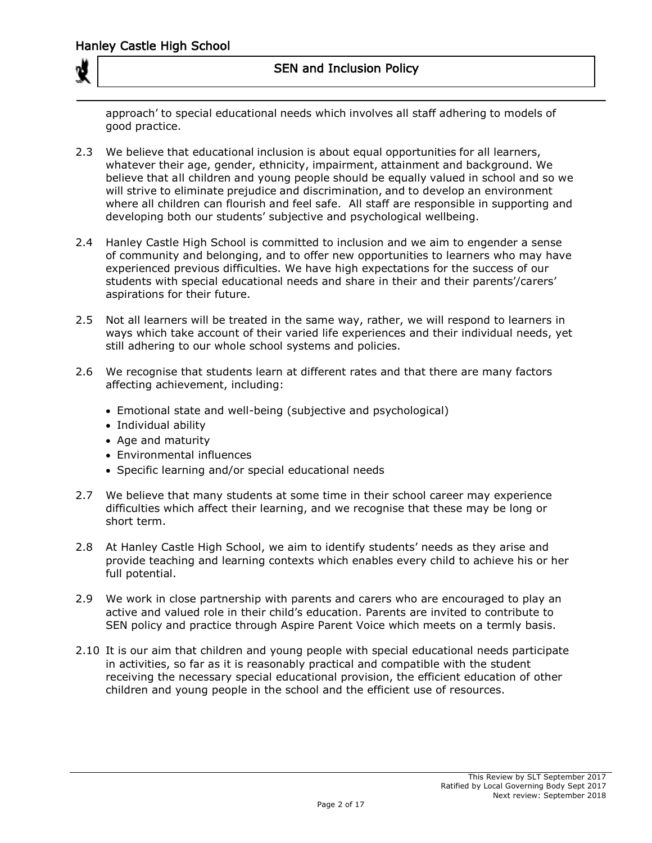approach' to special educational needs which involves all staff adhering to models of good practice.

- 2.3 We believe that educational inclusion is about equal opportunities for all learners, whatever their age, gender, ethnicity, impairment, attainment and background. We believe that all children and young people should be equally valued in school and so we will strive to eliminate prejudice and discrimination, and to develop an environment where all children can flourish and feel safe. All staff are responsible in supporting and developing both our students' subjective and psychological wellbeing.
- 2.4 Hanley Castle High School is committed to inclusion and we aim to engender a sense of community and belonging, and to offer new opportunities to learners who may have experienced previous difficulties. We have high expectations for the success of our students with special educational needs and share in their and their parents'/carers' aspirations for their future.
- 2.5 Not all learners will be treated in the same way, rather, we will respond to learners in ways which take account of their varied life experiences and their individual needs, yet still adhering to our whole school systems and policies.
- 2.6 We recognise that students learn at different rates and that there are many factors affecting achievement, including:
	- Emotional state and well-being (subjective and psychological)
	- Individual ability
	- Age and maturity
	- Environmental influences
	- Specific learning and/or special educational needs
- 2.7 We believe that many students at some time in their school career may experience difficulties which affect their learning, and we recognise that these may be long or short term.
- 2.8 At Hanley Castle High School, we aim to identify students' needs as they arise and provide teaching and learning contexts which enables every child to achieve his or her full potential.
- 2.9 We work in close partnership with parents and carers who are encouraged to play an active and valued role in their child's education. Parents are invited to contribute to SEN policy and practice through Aspire Parent Voice which meets on a termly basis.
- 2.10 It is our aim that children and young people with special educational needs participate in activities, so far as it is reasonably practical and compatible with the student receiving the necessary special educational provision, the efficient education of other children and young people in the school and the efficient use of resources.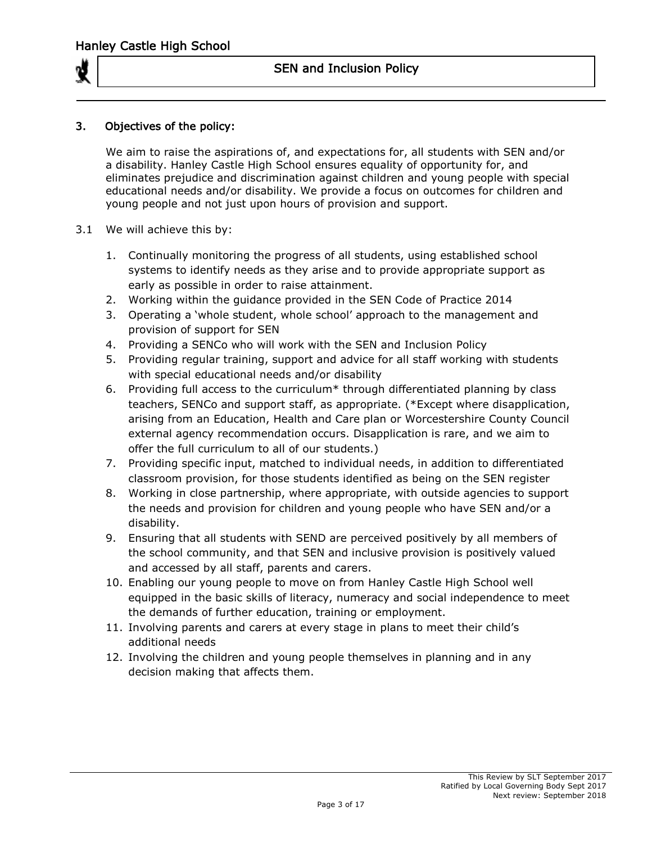

## 3. Objectives of the policy:

We aim to raise the aspirations of, and expectations for, all students with SEN and/or a disability. Hanley Castle High School ensures equality of opportunity for, and eliminates prejudice and discrimination against children and young people with special educational needs and/or disability. We provide a focus on outcomes for children and young people and not just upon hours of provision and support.

- 3.1 We will achieve this by:
	- 1. Continually monitoring the progress of all students, using established school systems to identify needs as they arise and to provide appropriate support as early as possible in order to raise attainment.
	- 2. Working within the guidance provided in the SEN Code of Practice 2014
	- 3. Operating a 'whole student, whole school' approach to the management and provision of support for SEN
	- 4. Providing a SENCo who will work with the SEN and Inclusion Policy
	- 5. Providing regular training, support and advice for all staff working with students with special educational needs and/or disability
	- 6. Providing full access to the curriculum\* through differentiated planning by class teachers, SENCo and support staff, as appropriate. (\*Except where disapplication, arising from an Education, Health and Care plan or Worcestershire County Council external agency recommendation occurs. Disapplication is rare, and we aim to offer the full curriculum to all of our students.)
	- 7. Providing specific input, matched to individual needs, in addition to differentiated classroom provision, for those students identified as being on the SEN register
	- 8. Working in close partnership, where appropriate, with outside agencies to support the needs and provision for children and young people who have SEN and/or a disability.
	- 9. Ensuring that all students with SEND are perceived positively by all members of the school community, and that SEN and inclusive provision is positively valued and accessed by all staff, parents and carers.
	- 10. Enabling our young people to move on from Hanley Castle High School well equipped in the basic skills of literacy, numeracy and social independence to meet the demands of further education, training or employment.
	- 11. Involving parents and carers at every stage in plans to meet their child's additional needs
	- 12. Involving the children and young people themselves in planning and in any decision making that affects them.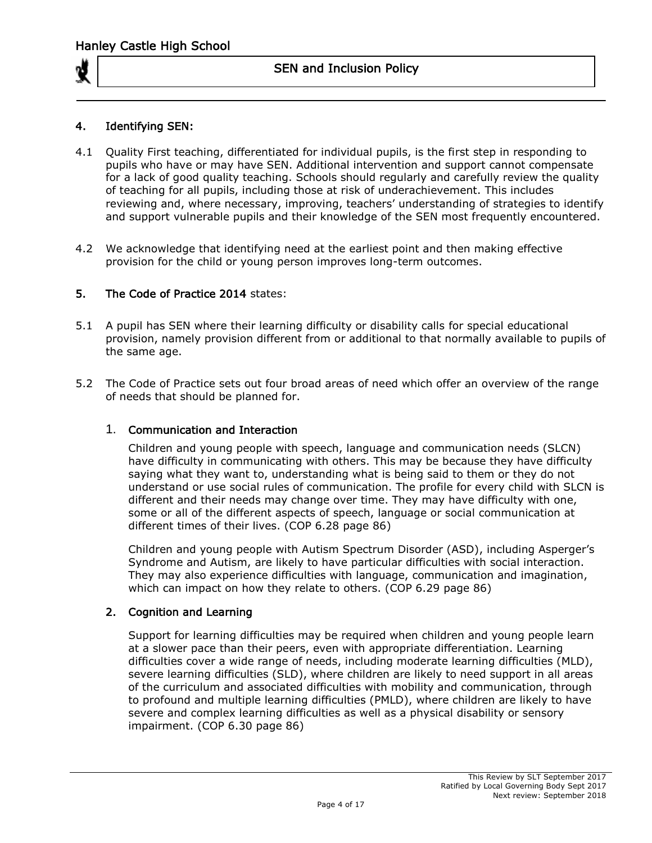

## 4. Identifying SEN:

- 4.1 Quality First teaching, differentiated for individual pupils, is the first step in responding to pupils who have or may have SEN. Additional intervention and support cannot compensate for a lack of good quality teaching. Schools should regularly and carefully review the quality of teaching for all pupils, including those at risk of underachievement. This includes reviewing and, where necessary, improving, teachers' understanding of strategies to identify and support vulnerable pupils and their knowledge of the SEN most frequently encountered.
- 4.2 We acknowledge that identifying need at the earliest point and then making effective provision for the child or young person improves long-term outcomes.

### 5. The Code of Practice 2014 states:

- 5.1 A pupil has SEN where their learning difficulty or disability calls for special educational provision, namely provision different from or additional to that normally available to pupils of the same age.
- 5.2 The Code of Practice sets out four broad areas of need which offer an overview of the range of needs that should be planned for.

### 1. Communication and Interaction

Children and young people with speech, language and communication needs (SLCN) have difficulty in communicating with others. This may be because they have difficulty saying what they want to, understanding what is being said to them or they do not understand or use social rules of communication. The profile for every child with SLCN is different and their needs may change over time. They may have difficulty with one, some or all of the different aspects of speech, language or social communication at different times of their lives. (COP 6.28 page 86)

Children and young people with Autism Spectrum Disorder (ASD), including Asperger's Syndrome and Autism, are likely to have particular difficulties with social interaction. They may also experience difficulties with language, communication and imagination, which can impact on how they relate to others. (COP 6.29 page 86)

### 2. Cognition and Learning

Support for learning difficulties may be required when children and young people learn at a slower pace than their peers, even with appropriate differentiation. Learning difficulties cover a wide range of needs, including moderate learning difficulties (MLD), severe learning difficulties (SLD), where children are likely to need support in all areas of the curriculum and associated difficulties with mobility and communication, through to profound and multiple learning difficulties (PMLD), where children are likely to have severe and complex learning difficulties as well as a physical disability or sensory impairment. (COP 6.30 page 86)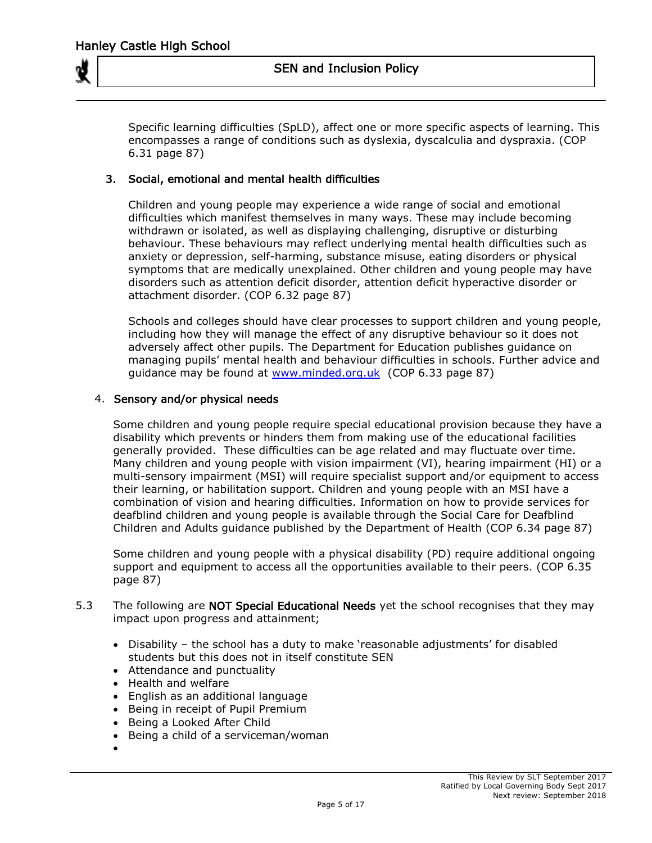

 Specific learning difficulties (SpLD), affect one or more specific aspects of learning. This encompasses a range of conditions such as dyslexia, dyscalculia and dyspraxia. (COP 6.31 page 87)

## 3. Social, emotional and mental health difficulties

Children and young people may experience a wide range of social and emotional difficulties which manifest themselves in many ways. These may include becoming withdrawn or isolated, as well as displaying challenging, disruptive or disturbing behaviour. These behaviours may reflect underlying mental health difficulties such as anxiety or depression, self-harming, substance misuse, eating disorders or physical symptoms that are medically unexplained. Other children and young people may have disorders such as attention deficit disorder, attention deficit hyperactive disorder or attachment disorder. (COP 6.32 page 87)

Schools and colleges should have clear processes to support children and young people, including how they will manage the effect of any disruptive behaviour so it does not adversely affect other pupils. The Department for Education publishes guidance on managing pupils' mental health and behaviour difficulties in schools. Further advice and guidance may be found at [www.minded.org.uk](http://www.minded.org.uk/) (COP 6.33 page 87)

### 4. Sensory and/or physical needs

Some children and young people require special educational provision because they have a disability which prevents or hinders them from making use of the educational facilities generally provided. These difficulties can be age related and may fluctuate over time. Many children and young people with vision impairment (VI), hearing impairment (HI) or a multi-sensory impairment (MSI) will require specialist support and/or equipment to access their learning, or habilitation support. Children and young people with an MSI have a combination of vision and hearing difficulties. Information on how to provide services for deafblind children and young people is available through the Social Care for Deafblind Children and Adults guidance published by the Department of Health (COP 6.34 page 87)

 Some children and young people with a physical disability (PD) require additional ongoing support and equipment to access all the opportunities available to their peers. (COP 6.35 page 87)

- 5.3 The following are NOT Special Educational Needs yet the school recognises that they may impact upon progress and attainment;
	- Disability the school has a duty to make 'reasonable adjustments' for disabled students but this does not in itself constitute SEN
	- Attendance and punctuality
	- Health and welfare
	- English as an additional language
	- Being in receipt of Pupil Premium
	- Being a Looked After Child
	- Being a child of a serviceman/woman
	- $\bullet$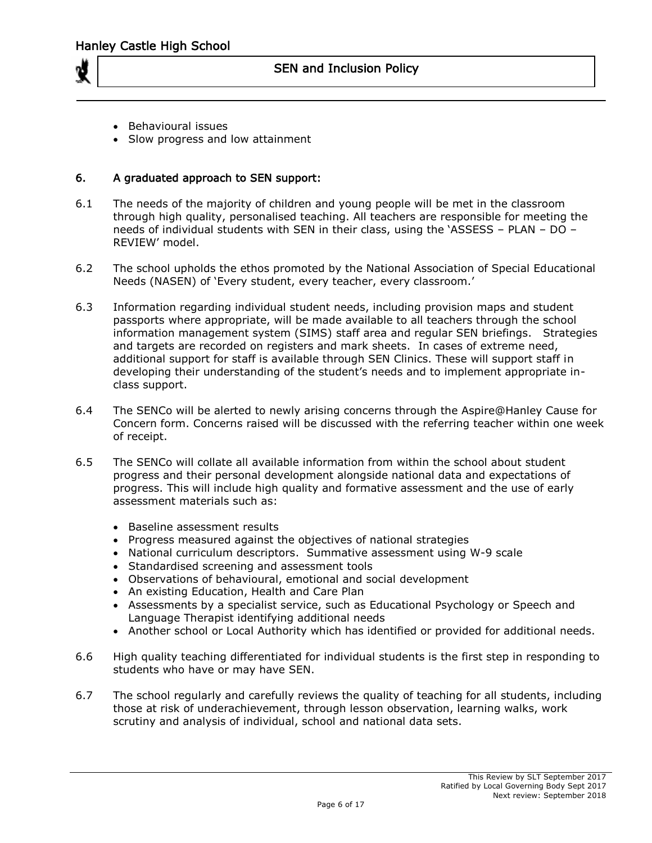

- Behavioural issues
- Slow progress and low attainment

#### 6. A graduated approach to SEN support:

- 6.1 The needs of the majority of children and young people will be met in the classroom through high quality, personalised teaching. All teachers are responsible for meeting the needs of individual students with SEN in their class, using the 'ASSESS – PLAN – DO – REVIEW' model.
- 6.2 The school upholds the ethos promoted by the National Association of Special Educational Needs (NASEN) of 'Every student, every teacher, every classroom.'
- 6.3 Information regarding individual student needs, including provision maps and student passports where appropriate, will be made available to all teachers through the school information management system (SIMS) staff area and regular SEN briefings. Strategies and targets are recorded on registers and mark sheets. In cases of extreme need, additional support for staff is available through SEN Clinics. These will support staff in developing their understanding of the student's needs and to implement appropriate inclass support.
- 6.4 The SENCo will be alerted to newly arising concerns through the Aspire@Hanley Cause for Concern form. Concerns raised will be discussed with the referring teacher within one week of receipt.
- 6.5 The SENCo will collate all available information from within the school about student progress and their personal development alongside national data and expectations of progress. This will include high quality and formative assessment and the use of early assessment materials such as:
	- Baseline assessment results
	- Progress measured against the objectives of national strategies
	- National curriculum descriptors. Summative assessment using W-9 scale
	- Standardised screening and assessment tools
	- Observations of behavioural, emotional and social development
	- An existing Education, Health and Care Plan
	- Assessments by a specialist service, such as Educational Psychology or Speech and Language Therapist identifying additional needs
	- Another school or Local Authority which has identified or provided for additional needs.
- 6.6 High quality teaching differentiated for individual students is the first step in responding to students who have or may have SEN.
- 6.7 The school regularly and carefully reviews the quality of teaching for all students, including those at risk of underachievement, through lesson observation, learning walks, work scrutiny and analysis of individual, school and national data sets.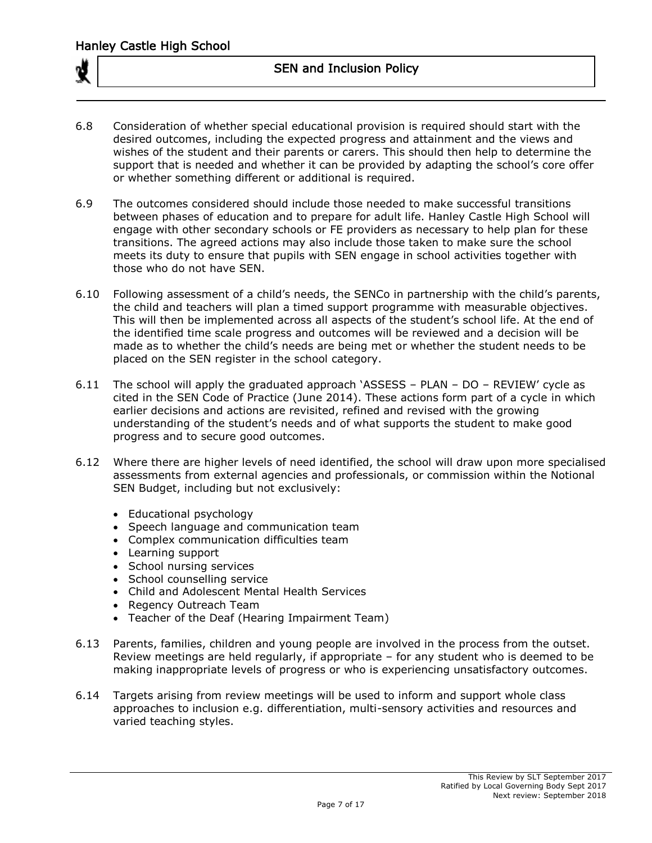

- 6.8 Consideration of whether special educational provision is required should start with the desired outcomes, including the expected progress and attainment and the views and wishes of the student and their parents or carers. This should then help to determine the support that is needed and whether it can be provided by adapting the school's core offer or whether something different or additional is required.
- 6.9 The outcomes considered should include those needed to make successful transitions between phases of education and to prepare for adult life. Hanley Castle High School will engage with other secondary schools or FE providers as necessary to help plan for these transitions. The agreed actions may also include those taken to make sure the school meets its duty to ensure that pupils with SEN engage in school activities together with those who do not have SEN.
- 6.10 Following assessment of a child's needs, the SENCo in partnership with the child's parents, the child and teachers will plan a timed support programme with measurable objectives. This will then be implemented across all aspects of the student's school life. At the end of the identified time scale progress and outcomes will be reviewed and a decision will be made as to whether the child's needs are being met or whether the student needs to be placed on the SEN register in the school category.
- 6.11 The school will apply the graduated approach 'ASSESS PLAN DO REVIEW' cycle as cited in the SEN Code of Practice (June 2014). These actions form part of a cycle in which earlier decisions and actions are revisited, refined and revised with the growing understanding of the student's needs and of what supports the student to make good progress and to secure good outcomes.
- 6.12 Where there are higher levels of need identified, the school will draw upon more specialised assessments from external agencies and professionals, or commission within the Notional SEN Budget, including but not exclusively:
	- Educational psychology
	- Speech language and communication team
	- Complex communication difficulties team
	- Learning support
	- School nursing services
	- School counselling service
	- Child and Adolescent Mental Health Services
	- Regency Outreach Team
	- Teacher of the Deaf (Hearing Impairment Team)
- 6.13 Parents, families, children and young people are involved in the process from the outset. Review meetings are held regularly, if appropriate – for any student who is deemed to be making inappropriate levels of progress or who is experiencing unsatisfactory outcomes.
- 6.14 Targets arising from review meetings will be used to inform and support whole class approaches to inclusion e.g. differentiation, multi-sensory activities and resources and varied teaching styles.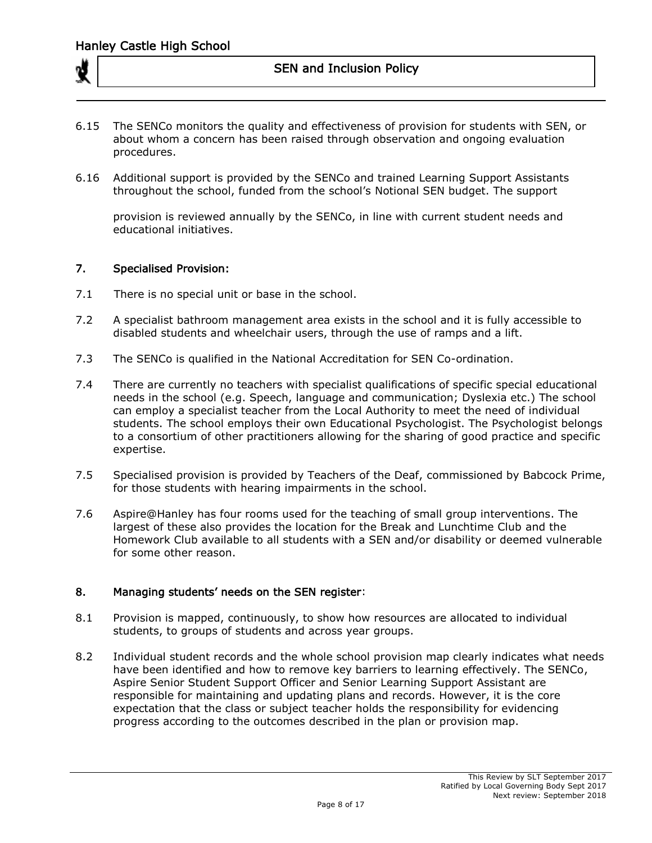- 6.15 The SENCo monitors the quality and effectiveness of provision for students with SEN, or about whom a concern has been raised through observation and ongoing evaluation procedures.
- 6.16 Additional support is provided by the SENCo and trained Learning Support Assistants throughout the school, funded from the school's Notional SEN budget. The support

provision is reviewed annually by the SENCo, in line with current student needs and educational initiatives.

#### 7. Specialised Provision:

- 7.1 There is no special unit or base in the school.
- 7.2 A specialist bathroom management area exists in the school and it is fully accessible to disabled students and wheelchair users, through the use of ramps and a lift.
- 7.3 The SENCo is qualified in the National Accreditation for SEN Co-ordination.
- 7.4 There are currently no teachers with specialist qualifications of specific special educational needs in the school (e.g. Speech, language and communication; Dyslexia etc.) The school can employ a specialist teacher from the Local Authority to meet the need of individual students. The school employs their own Educational Psychologist. The Psychologist belongs to a consortium of other practitioners allowing for the sharing of good practice and specific expertise.
- 7.5 Specialised provision is provided by Teachers of the Deaf, commissioned by Babcock Prime, for those students with hearing impairments in the school.
- 7.6 Aspire@Hanley has four rooms used for the teaching of small group interventions. The largest of these also provides the location for the Break and Lunchtime Club and the Homework Club available to all students with a SEN and/or disability or deemed vulnerable for some other reason.

### 8. Managing students' needs on the SEN register:

- 8.1 Provision is mapped, continuously, to show how resources are allocated to individual students, to groups of students and across year groups.
- 8.2 Individual student records and the whole school provision map clearly indicates what needs have been identified and how to remove key barriers to learning effectively. The SENCo, Aspire Senior Student Support Officer and Senior Learning Support Assistant are responsible for maintaining and updating plans and records. However, it is the core expectation that the class or subject teacher holds the responsibility for evidencing progress according to the outcomes described in the plan or provision map.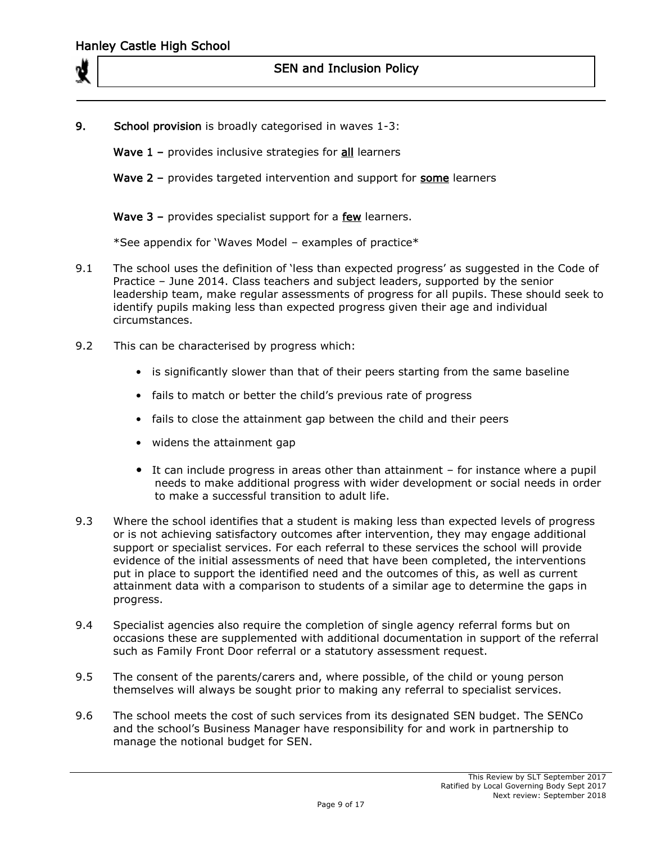

9. School provision is broadly categorised in waves 1-3:

Wave  $1$  – provides inclusive strategies for  $all$  learners

Wave 2 - provides targeted intervention and support for some learners

Wave 3 – provides specialist support for a few learners.

\*See appendix for 'Waves Model – examples of practice\*

- 9.1 The school uses the definition of 'less than expected progress' as suggested in the Code of Practice – June 2014. Class teachers and subject leaders, supported by the senior leadership team, make regular assessments of progress for all pupils. These should seek to identify pupils making less than expected progress given their age and individual circumstances.
- 9.2 This can be characterised by progress which:
	- is significantly slower than that of their peers starting from the same baseline
	- fails to match or better the child's previous rate of progress
	- fails to close the attainment gap between the child and their peers
	- widens the attainment gap
	- It can include progress in areas other than attainment for instance where a pupil needs to make additional progress with wider development or social needs in order to make a successful transition to adult life.
- 9.3 Where the school identifies that a student is making less than expected levels of progress or is not achieving satisfactory outcomes after intervention, they may engage additional support or specialist services. For each referral to these services the school will provide evidence of the initial assessments of need that have been completed, the interventions put in place to support the identified need and the outcomes of this, as well as current attainment data with a comparison to students of a similar age to determine the gaps in progress.
- 9.4 Specialist agencies also require the completion of single agency referral forms but on occasions these are supplemented with additional documentation in support of the referral such as Family Front Door referral or a statutory assessment request.
- 9.5 The consent of the parents/carers and, where possible, of the child or young person themselves will always be sought prior to making any referral to specialist services.
- 9.6 The school meets the cost of such services from its designated SEN budget. The SENCo and the school's Business Manager have responsibility for and work in partnership to manage the notional budget for SEN.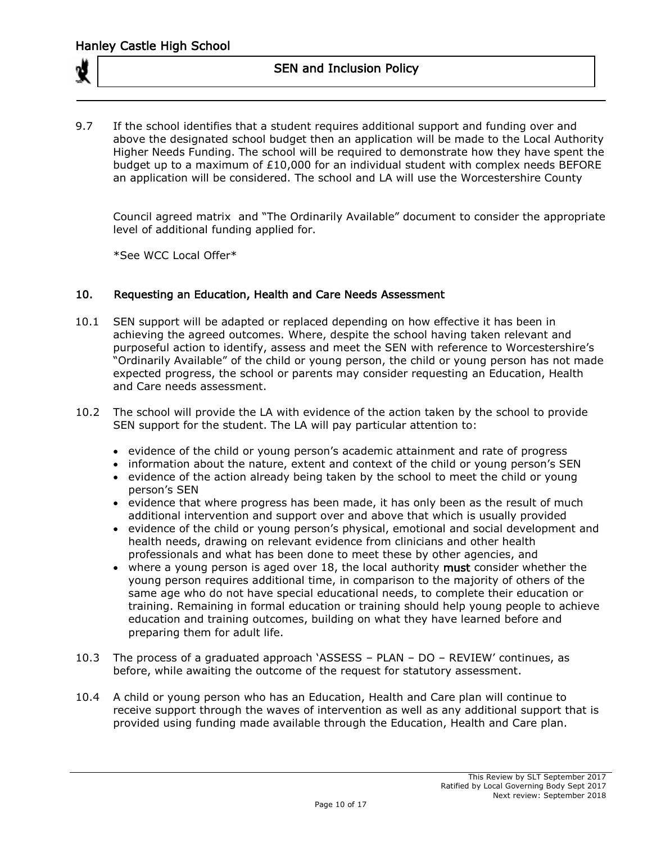

9.7 If the school identifies that a student requires additional support and funding over and above the designated school budget then an application will be made to the Local Authority Higher Needs Funding. The school will be required to demonstrate how they have spent the budget up to a maximum of  $£10,000$  for an individual student with complex needs BEFORE an application will be considered. The school and LA will use the Worcestershire County

Council agreed matrix and "The Ordinarily Available" document to consider the appropriate level of additional funding applied for.

\*See WCC Local Offer\*

### 10. Requesting an Education, Health and Care Needs Assessment

- 10.1 SEN support will be adapted or replaced depending on how effective it has been in achieving the agreed outcomes. Where, despite the school having taken relevant and purposeful action to identify, assess and meet the SEN with reference to Worcestershire's "Ordinarily Available" of the child or young person, the child or young person has not made expected progress, the school or parents may consider requesting an Education, Health and Care needs assessment.
- 10.2 The school will provide the LA with evidence of the action taken by the school to provide SEN support for the student. The LA will pay particular attention to:
	- evidence of the child or young person's academic attainment and rate of progress
	- information about the nature, extent and context of the child or young person's SEN
	- evidence of the action already being taken by the school to meet the child or young person's SEN
	- evidence that where progress has been made, it has only been as the result of much additional intervention and support over and above that which is usually provided
	- evidence of the child or young person's physical, emotional and social development and health needs, drawing on relevant evidence from clinicians and other health professionals and what has been done to meet these by other agencies, and
	- where a young person is aged over 18, the local authority must consider whether the young person requires additional time, in comparison to the majority of others of the same age who do not have special educational needs, to complete their education or training. Remaining in formal education or training should help young people to achieve education and training outcomes, building on what they have learned before and preparing them for adult life.
- 10.3 The process of a graduated approach 'ASSESS PLAN DO REVIEW' continues, as before, while awaiting the outcome of the request for statutory assessment.
- 10.4 A child or young person who has an Education, Health and Care plan will continue to receive support through the waves of intervention as well as any additional support that is provided using funding made available through the Education, Health and Care plan.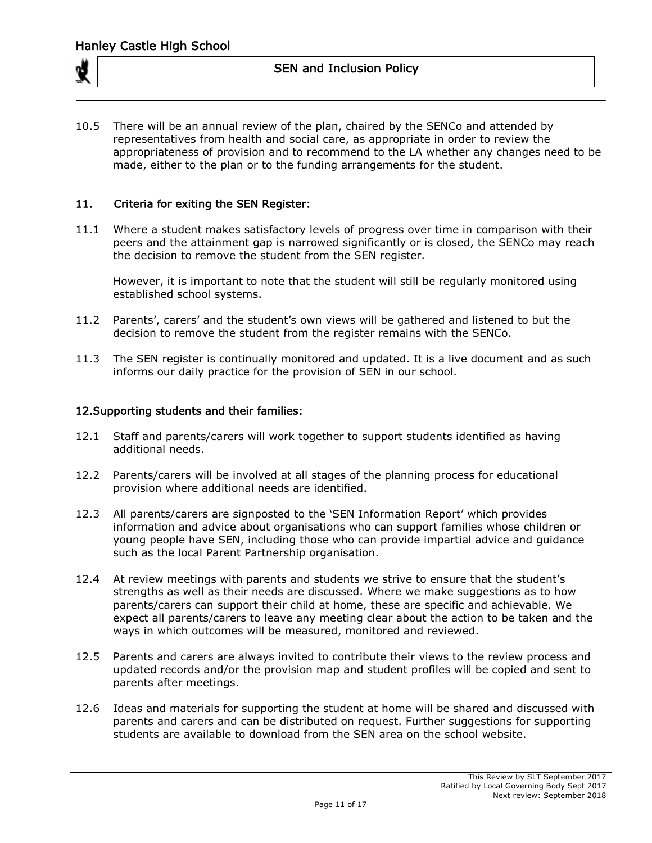10.5 There will be an annual review of the plan, chaired by the SENCo and attended by representatives from health and social care, as appropriate in order to review the appropriateness of provision and to recommend to the LA whether any changes need to be made, either to the plan or to the funding arrangements for the student.

### 11. Criteria for exiting the SEN Register:

11.1 Where a student makes satisfactory levels of progress over time in comparison with their peers and the attainment gap is narrowed significantly or is closed, the SENCo may reach the decision to remove the student from the SEN register.

However, it is important to note that the student will still be regularly monitored using established school systems.

- 11.2 Parents', carers' and the student's own views will be gathered and listened to but the decision to remove the student from the register remains with the SENCo.
- 11.3 The SEN register is continually monitored and updated. It is a live document and as such informs our daily practice for the provision of SEN in our school.

### 12.Supporting students and their families:

- 12.1 Staff and parents/carers will work together to support students identified as having additional needs.
- 12.2 Parents/carers will be involved at all stages of the planning process for educational provision where additional needs are identified.
- 12.3 All parents/carers are signposted to the 'SEN Information Report' which provides information and advice about organisations who can support families whose children or young people have SEN, including those who can provide impartial advice and guidance such as the local Parent Partnership organisation.
- 12.4 At review meetings with parents and students we strive to ensure that the student's strengths as well as their needs are discussed. Where we make suggestions as to how parents/carers can support their child at home, these are specific and achievable. We expect all parents/carers to leave any meeting clear about the action to be taken and the ways in which outcomes will be measured, monitored and reviewed.
- 12.5 Parents and carers are always invited to contribute their views to the review process and updated records and/or the provision map and student profiles will be copied and sent to parents after meetings.
- 12.6 Ideas and materials for supporting the student at home will be shared and discussed with parents and carers and can be distributed on request. Further suggestions for supporting students are available to download from the SEN area on the school website.

This Review by SLT September 2017 Ratified by Local Governing Body Sept 2017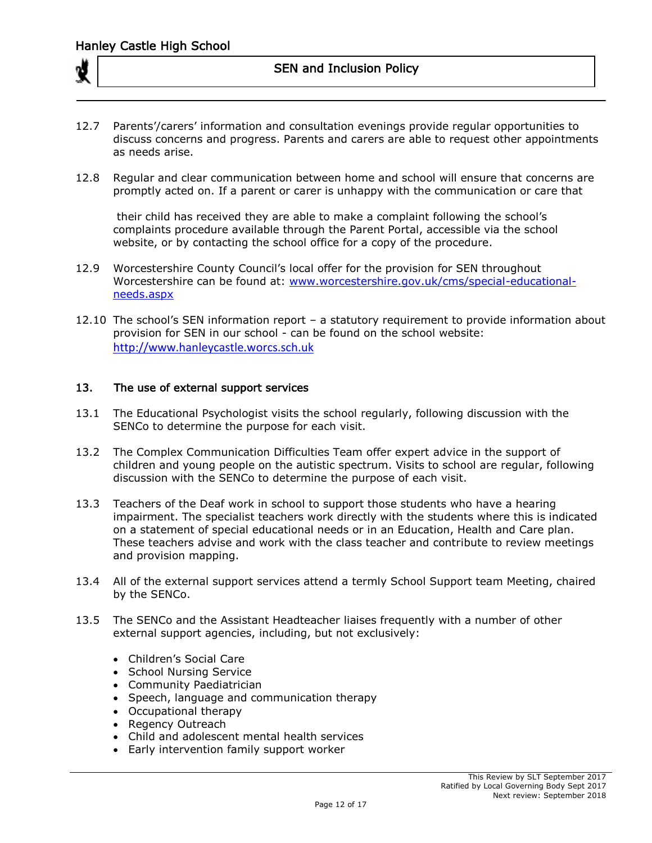- 12.7 Parents'/carers' information and consultation evenings provide regular opportunities to discuss concerns and progress. Parents and carers are able to request other appointments as needs arise.
- 12.8 Regular and clear communication between home and school will ensure that concerns are promptly acted on. If a parent or carer is unhappy with the communication or care that

their child has received they are able to make a complaint following the school's complaints procedure available through the Parent Portal, accessible via the school website, or by contacting the school office for a copy of the procedure.

- 12.9 Worcestershire County Council's local offer for the provision for SEN throughout Worcestershire can be found at: [www.worcestershire.gov.uk/cms/special-educational](http://www.worcestershire.gov.uk/cms/special-educational-needs.aspx)[needs.aspx](http://www.worcestershire.gov.uk/cms/special-educational-needs.aspx)
- 12.10 The school's SEN information report a statutory requirement to provide information about provision for SEN in our school - can be found on the school website: [http://www.hanleycastle.worcs.sch.uk](http://www.hanleycastle.worcs.sch.uk/)

## 13. The use of external support services

- 13.1 The Educational Psychologist visits the school regularly, following discussion with the SENCo to determine the purpose for each visit.
- 13.2 The Complex Communication Difficulties Team offer expert advice in the support of children and young people on the autistic spectrum. Visits to school are regular, following discussion with the SENCo to determine the purpose of each visit.
- 13.3 Teachers of the Deaf work in school to support those students who have a hearing impairment. The specialist teachers work directly with the students where this is indicated on a statement of special educational needs or in an Education, Health and Care plan. These teachers advise and work with the class teacher and contribute to review meetings and provision mapping.
- 13.4 All of the external support services attend a termly School Support team Meeting, chaired by the SENCo.
- 13.5 The SENCo and the Assistant Headteacher liaises frequently with a number of other external support agencies, including, but not exclusively:
	- Children's Social Care
	- School Nursing Service
	- Community Paediatrician
	- Speech, language and communication therapy
	- Occupational therapy
	- Regency Outreach
	- Child and adolescent mental health services
	- Early intervention family support worker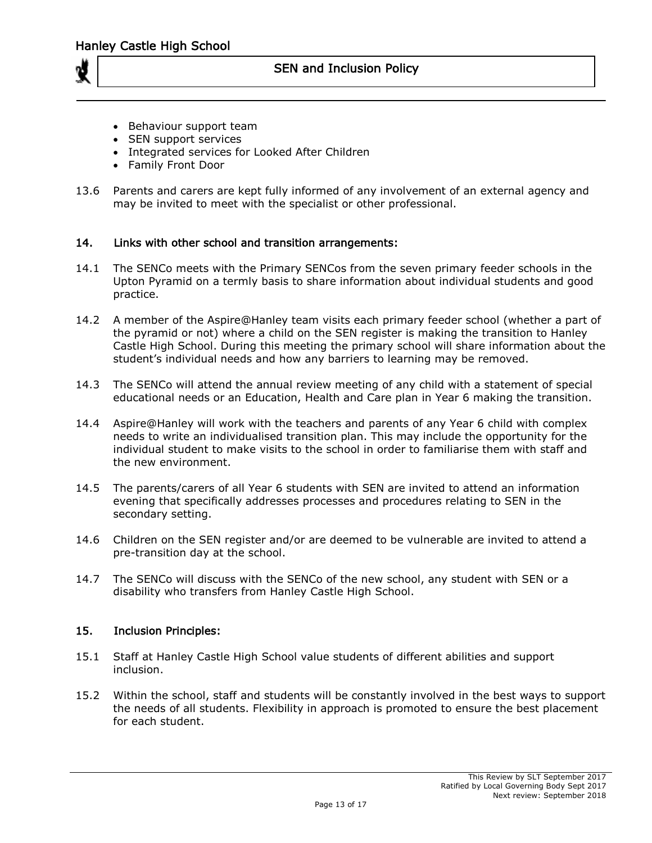

- Behaviour support team
- SEN support services
- Integrated services for Looked After Children
- Family Front Door
- 13.6 Parents and carers are kept fully informed of any involvement of an external agency and may be invited to meet with the specialist or other professional.

#### 14. Links with other school and transition arrangements:

- 14.1 The SENCo meets with the Primary SENCos from the seven primary feeder schools in the Upton Pyramid on a termly basis to share information about individual students and good practice.
- 14.2 A member of the Aspire@Hanley team visits each primary feeder school (whether a part of the pyramid or not) where a child on the SEN register is making the transition to Hanley Castle High School. During this meeting the primary school will share information about the student's individual needs and how any barriers to learning may be removed.
- 14.3 The SENCo will attend the annual review meeting of any child with a statement of special educational needs or an Education, Health and Care plan in Year 6 making the transition.
- 14.4 Aspire@Hanley will work with the teachers and parents of any Year 6 child with complex needs to write an individualised transition plan. This may include the opportunity for the individual student to make visits to the school in order to familiarise them with staff and the new environment.
- 14.5 The parents/carers of all Year 6 students with SEN are invited to attend an information evening that specifically addresses processes and procedures relating to SEN in the secondary setting.
- 14.6 Children on the SEN register and/or are deemed to be vulnerable are invited to attend a pre-transition day at the school.
- 14.7 The SENCo will discuss with the SENCo of the new school, any student with SEN or a disability who transfers from Hanley Castle High School.

#### 15. Inclusion Principles:

- 15.1 Staff at Hanley Castle High School value students of different abilities and support inclusion.
- 15.2 Within the school, staff and students will be constantly involved in the best ways to support the needs of all students. Flexibility in approach is promoted to ensure the best placement for each student.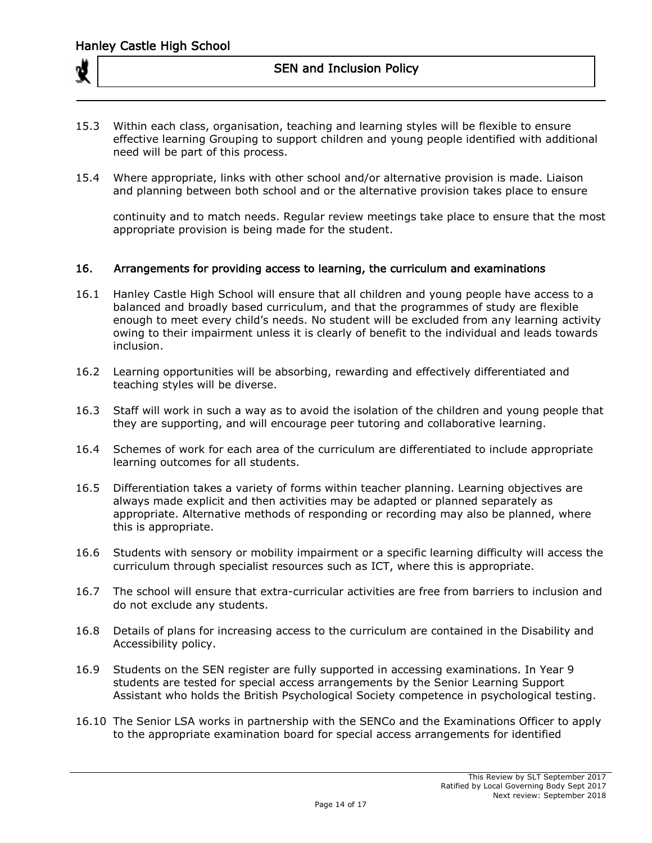- 15.3 Within each class, organisation, teaching and learning styles will be flexible to ensure effective learning Grouping to support children and young people identified with additional need will be part of this process.
- 15.4 Where appropriate, links with other school and/or alternative provision is made. Liaison and planning between both school and or the alternative provision takes place to ensure

continuity and to match needs. Regular review meetings take place to ensure that the most appropriate provision is being made for the student.

#### 16. Arrangements for providing access to learning, the curriculum and examinations

- 16.1 Hanley Castle High School will ensure that all children and young people have access to a balanced and broadly based curriculum, and that the programmes of study are flexible enough to meet every child's needs. No student will be excluded from any learning activity owing to their impairment unless it is clearly of benefit to the individual and leads towards inclusion.
- 16.2 Learning opportunities will be absorbing, rewarding and effectively differentiated and teaching styles will be diverse.
- 16.3 Staff will work in such a way as to avoid the isolation of the children and young people that they are supporting, and will encourage peer tutoring and collaborative learning.
- 16.4 Schemes of work for each area of the curriculum are differentiated to include appropriate learning outcomes for all students.
- 16.5 Differentiation takes a variety of forms within teacher planning. Learning objectives are always made explicit and then activities may be adapted or planned separately as appropriate. Alternative methods of responding or recording may also be planned, where this is appropriate.
- 16.6 Students with sensory or mobility impairment or a specific learning difficulty will access the curriculum through specialist resources such as ICT, where this is appropriate.
- 16.7 The school will ensure that extra-curricular activities are free from barriers to inclusion and do not exclude any students.
- 16.8 Details of plans for increasing access to the curriculum are contained in the Disability and Accessibility policy.
- 16.9 Students on the SEN register are fully supported in accessing examinations. In Year 9 students are tested for special access arrangements by the Senior Learning Support Assistant who holds the British Psychological Society competence in psychological testing.
- 16.10 The Senior LSA works in partnership with the SENCo and the Examinations Officer to apply to the appropriate examination board for special access arrangements for identified

This Review by SLT September 2017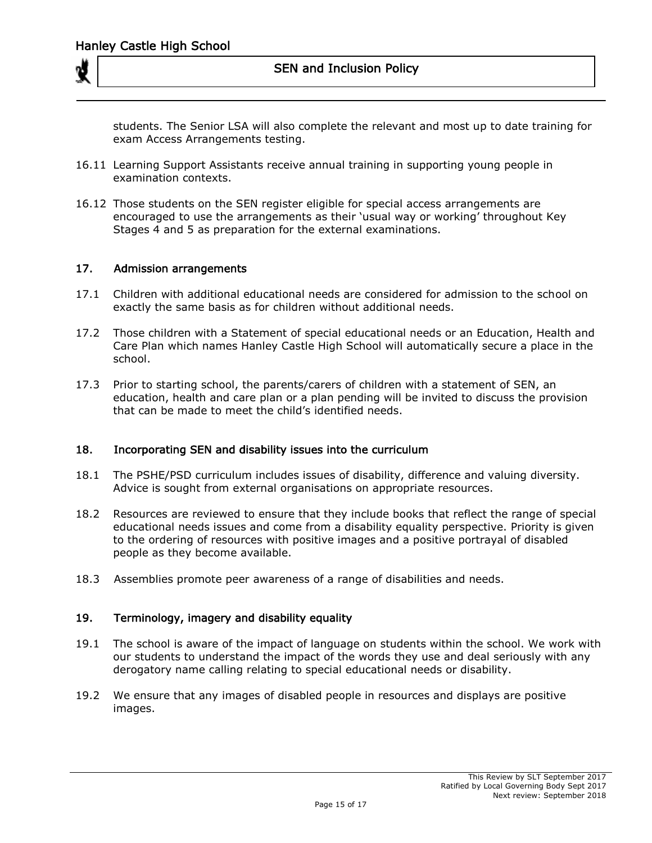students. The Senior LSA will also complete the relevant and most up to date training for exam Access Arrangements testing.

- 16.11 Learning Support Assistants receive annual training in supporting young people in examination contexts.
- 16.12 Those students on the SEN register eligible for special access arrangements are encouraged to use the arrangements as their 'usual way or working' throughout Key Stages 4 and 5 as preparation for the external examinations.

#### 17. Admission arrangements

- 17.1 Children with additional educational needs are considered for admission to the school on exactly the same basis as for children without additional needs.
- 17.2 Those children with a Statement of special educational needs or an Education, Health and Care Plan which names Hanley Castle High School will automatically secure a place in the school.
- 17.3 Prior to starting school, the parents/carers of children with a statement of SEN, an education, health and care plan or a plan pending will be invited to discuss the provision that can be made to meet the child's identified needs.

#### 18. Incorporating SEN and disability issues into the curriculum

- 18.1 The PSHE/PSD curriculum includes issues of disability, difference and valuing diversity. Advice is sought from external organisations on appropriate resources.
- 18.2 Resources are reviewed to ensure that they include books that reflect the range of special educational needs issues and come from a disability equality perspective. Priority is given to the ordering of resources with positive images and a positive portrayal of disabled people as they become available.
- 18.3 Assemblies promote peer awareness of a range of disabilities and needs.

## 19. Terminology, imagery and disability equality

- 19.1 The school is aware of the impact of language on students within the school. We work with our students to understand the impact of the words they use and deal seriously with any derogatory name calling relating to special educational needs or disability.
- 19.2 We ensure that any images of disabled people in resources and displays are positive images.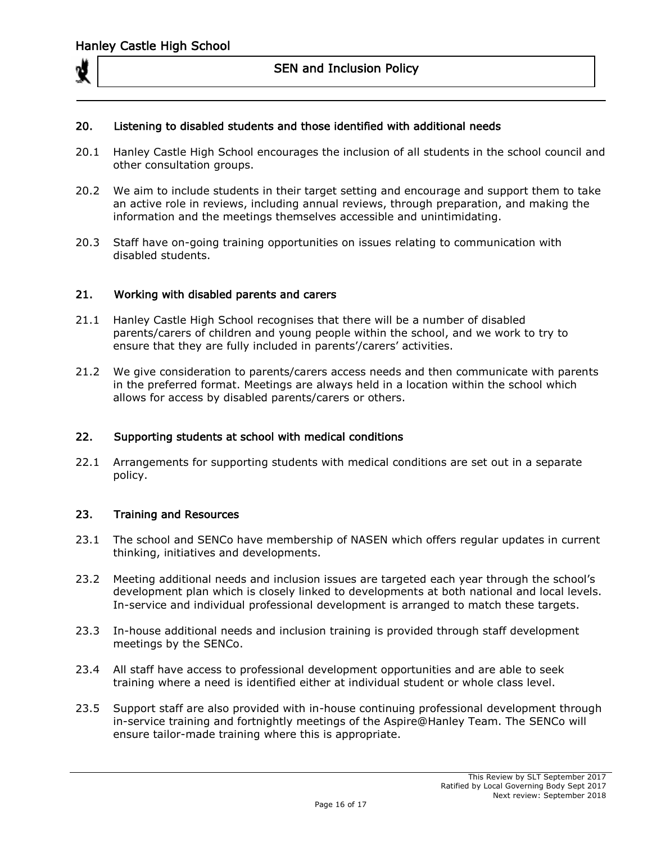

## 20. Listening to disabled students and those identified with additional needs

- 20.1 Hanley Castle High School encourages the inclusion of all students in the school council and other consultation groups.
- 20.2 We aim to include students in their target setting and encourage and support them to take an active role in reviews, including annual reviews, through preparation, and making the information and the meetings themselves accessible and unintimidating.
- 20.3 Staff have on-going training opportunities on issues relating to communication with disabled students.

### 21. Working with disabled parents and carers

- 21.1 Hanley Castle High School recognises that there will be a number of disabled parents/carers of children and young people within the school, and we work to try to ensure that they are fully included in parents'/carers' activities.
- 21.2 We give consideration to parents/carers access needs and then communicate with parents in the preferred format. Meetings are always held in a location within the school which allows for access by disabled parents/carers or others.

#### 22. Supporting students at school with medical conditions

22.1 Arrangements for supporting students with medical conditions are set out in a separate policy.

#### 23. Training and Resources

- 23.1 The school and SENCo have membership of NASEN which offers regular updates in current thinking, initiatives and developments.
- 23.2 Meeting additional needs and inclusion issues are targeted each year through the school's development plan which is closely linked to developments at both national and local levels. In-service and individual professional development is arranged to match these targets.
- 23.3 In-house additional needs and inclusion training is provided through staff development meetings by the SENCo.
- 23.4 All staff have access to professional development opportunities and are able to seek training where a need is identified either at individual student or whole class level.
- 23.5 Support staff are also provided with in-house continuing professional development through in-service training and fortnightly meetings of the Aspire@Hanley Team. The SENCo will ensure tailor-made training where this is appropriate.

This Review by SLT September 2017